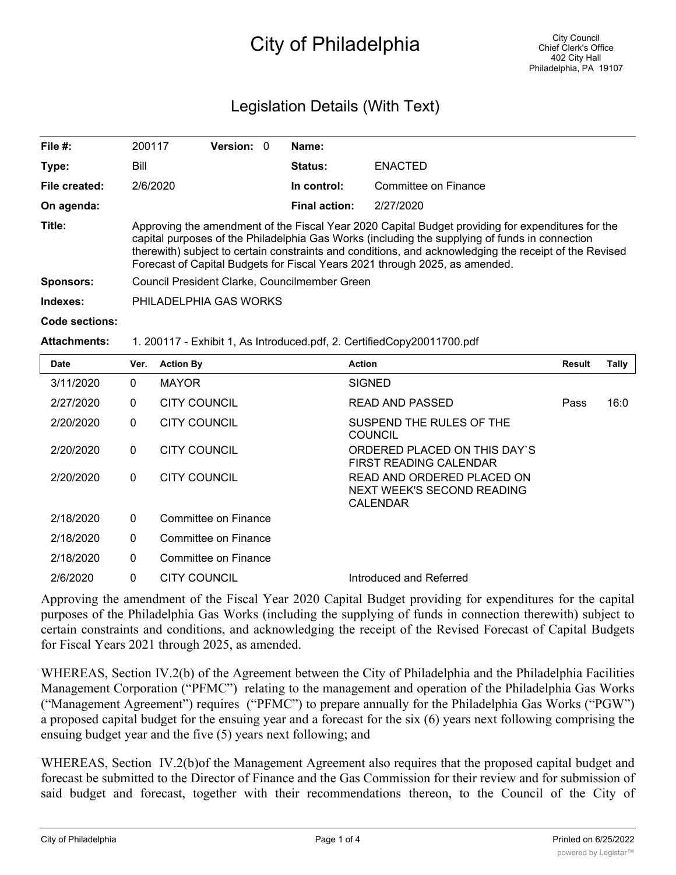# City of Philadelphia

# Legislation Details (With Text)

| File $#$ :     | 200117                                                                                                                                                                                                                                                                                                                                                                                       | <b>Version: 0</b> |  | Name:                |                      |  |  |  |
|----------------|----------------------------------------------------------------------------------------------------------------------------------------------------------------------------------------------------------------------------------------------------------------------------------------------------------------------------------------------------------------------------------------------|-------------------|--|----------------------|----------------------|--|--|--|
| Type:          | Bill                                                                                                                                                                                                                                                                                                                                                                                         |                   |  | <b>Status:</b>       | <b>ENACTED</b>       |  |  |  |
| File created:  | 2/6/2020                                                                                                                                                                                                                                                                                                                                                                                     |                   |  | In control:          | Committee on Finance |  |  |  |
| On agenda:     |                                                                                                                                                                                                                                                                                                                                                                                              |                   |  | <b>Final action:</b> | 2/27/2020            |  |  |  |
| Title:         | Approving the amendment of the Fiscal Year 2020 Capital Budget providing for expenditures for the<br>capital purposes of the Philadelphia Gas Works (including the supplying of funds in connection<br>therewith) subject to certain constraints and conditions, and acknowledging the receipt of the Revised<br>Forecast of Capital Budgets for Fiscal Years 2021 through 2025, as amended. |                   |  |                      |                      |  |  |  |
| Sponsors:      | Council President Clarke, Councilmember Green                                                                                                                                                                                                                                                                                                                                                |                   |  |                      |                      |  |  |  |
| Indexes:       | PHILADELPHIA GAS WORKS                                                                                                                                                                                                                                                                                                                                                                       |                   |  |                      |                      |  |  |  |
| Code sections: |                                                                                                                                                                                                                                                                                                                                                                                              |                   |  |                      |                      |  |  |  |

#### **Attachments:** 1. 200117 - Exhibit 1, As Introduced.pdf, 2. CertifiedCopy20011700.pdf

| <b>Date</b> | Ver.         | <b>Action By</b>     | <b>Action</b>                                                        | <b>Result</b> | <b>Tally</b> |
|-------------|--------------|----------------------|----------------------------------------------------------------------|---------------|--------------|
| 3/11/2020   | $\mathbf{0}$ | <b>MAYOR</b>         | <b>SIGNED</b>                                                        |               |              |
| 2/27/2020   | $\mathbf{0}$ | <b>CITY COUNCIL</b>  | READ AND PASSED                                                      | Pass          | 16:0         |
| 2/20/2020   | $\mathbf{0}$ | <b>CITY COUNCIL</b>  | SUSPEND THE RULES OF THE<br><b>COUNCIL</b>                           |               |              |
| 2/20/2020   | $\mathbf{0}$ | <b>CITY COUNCIL</b>  | ORDERED PLACED ON THIS DAY'S<br>FIRST READING CALENDAR               |               |              |
| 2/20/2020   | $\mathbf{0}$ | <b>CITY COUNCIL</b>  | READ AND ORDERED PLACED ON<br>NEXT WEEK'S SECOND READING<br>CALENDAR |               |              |
| 2/18/2020   | $\mathbf{0}$ | Committee on Finance |                                                                      |               |              |
| 2/18/2020   | $\mathbf{0}$ | Committee on Finance |                                                                      |               |              |
| 2/18/2020   | $\mathbf{0}$ | Committee on Finance |                                                                      |               |              |
| 2/6/2020    | $\mathbf{0}$ | <b>CITY COUNCIL</b>  | Introduced and Referred                                              |               |              |

Approving the amendment of the Fiscal Year 2020 Capital Budget providing for expenditures for the capital purposes of the Philadelphia Gas Works (including the supplying of funds in connection therewith) subject to certain constraints and conditions, and acknowledging the receipt of the Revised Forecast of Capital Budgets for Fiscal Years 2021 through 2025, as amended.

WHEREAS, Section IV.2(b) of the Agreement between the City of Philadelphia and the Philadelphia Facilities Management Corporation ("PFMC") relating to the management and operation of the Philadelphia Gas Works ("Management Agreement") requires ("PFMC") to prepare annually for the Philadelphia Gas Works ("PGW") a proposed capital budget for the ensuing year and a forecast for the six (6) years next following comprising the ensuing budget year and the five (5) years next following; and

WHEREAS, Section IV.2(b)of the Management Agreement also requires that the proposed capital budget and forecast be submitted to the Director of Finance and the Gas Commission for their review and for submission of said budget and forecast, together with their recommendations thereon, to the Council of the City of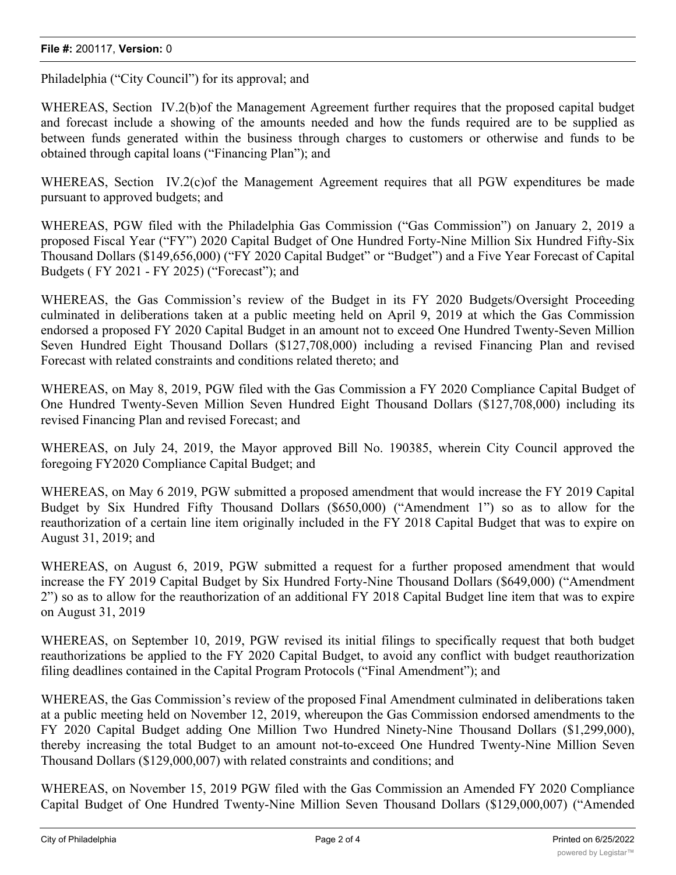Philadelphia ("City Council") for its approval; and

WHEREAS, Section IV.2(b) of the Management Agreement further requires that the proposed capital budget and forecast include a showing of the amounts needed and how the funds required are to be supplied as between funds generated within the business through charges to customers or otherwise and funds to be obtained through capital loans ("Financing Plan"); and

WHEREAS, Section IV.2(c) of the Management Agreement requires that all PGW expenditures be made pursuant to approved budgets; and

WHEREAS, PGW filed with the Philadelphia Gas Commission ("Gas Commission") on January 2, 2019 a proposed Fiscal Year ("FY") 2020 Capital Budget of One Hundred Forty-Nine Million Six Hundred Fifty-Six Thousand Dollars (\$149,656,000) ("FY 2020 Capital Budget" or "Budget") and a Five Year Forecast of Capital Budgets ( FY 2021 - FY 2025) ("Forecast"); and

WHEREAS, the Gas Commission's review of the Budget in its FY 2020 Budgets/Oversight Proceeding culminated in deliberations taken at a public meeting held on April 9, 2019 at which the Gas Commission endorsed a proposed FY 2020 Capital Budget in an amount not to exceed One Hundred Twenty-Seven Million Seven Hundred Eight Thousand Dollars (\$127,708,000) including a revised Financing Plan and revised Forecast with related constraints and conditions related thereto; and

WHEREAS, on May 8, 2019, PGW filed with the Gas Commission a FY 2020 Compliance Capital Budget of One Hundred Twenty-Seven Million Seven Hundred Eight Thousand Dollars (\$127,708,000) including its revised Financing Plan and revised Forecast; and

WHEREAS, on July 24, 2019, the Mayor approved Bill No. 190385, wherein City Council approved the foregoing FY2020 Compliance Capital Budget; and

WHEREAS, on May 6 2019, PGW submitted a proposed amendment that would increase the FY 2019 Capital Budget by Six Hundred Fifty Thousand Dollars (\$650,000) ("Amendment 1") so as to allow for the reauthorization of a certain line item originally included in the FY 2018 Capital Budget that was to expire on August 31, 2019; and

WHEREAS, on August 6, 2019, PGW submitted a request for a further proposed amendment that would increase the FY 2019 Capital Budget by Six Hundred Forty-Nine Thousand Dollars (\$649,000) ("Amendment 2") so as to allow for the reauthorization of an additional FY 2018 Capital Budget line item that was to expire on August 31, 2019

WHEREAS, on September 10, 2019, PGW revised its initial filings to specifically request that both budget reauthorizations be applied to the FY 2020 Capital Budget, to avoid any conflict with budget reauthorization filing deadlines contained in the Capital Program Protocols ("Final Amendment"); and

WHEREAS, the Gas Commission's review of the proposed Final Amendment culminated in deliberations taken at a public meeting held on November 12, 2019, whereupon the Gas Commission endorsed amendments to the FY 2020 Capital Budget adding One Million Two Hundred Ninety-Nine Thousand Dollars (\$1,299,000), thereby increasing the total Budget to an amount not-to-exceed One Hundred Twenty-Nine Million Seven Thousand Dollars (\$129,000,007) with related constraints and conditions; and

WHEREAS, on November 15, 2019 PGW filed with the Gas Commission an Amended FY 2020 Compliance Capital Budget of One Hundred Twenty-Nine Million Seven Thousand Dollars (\$129,000,007) ("Amended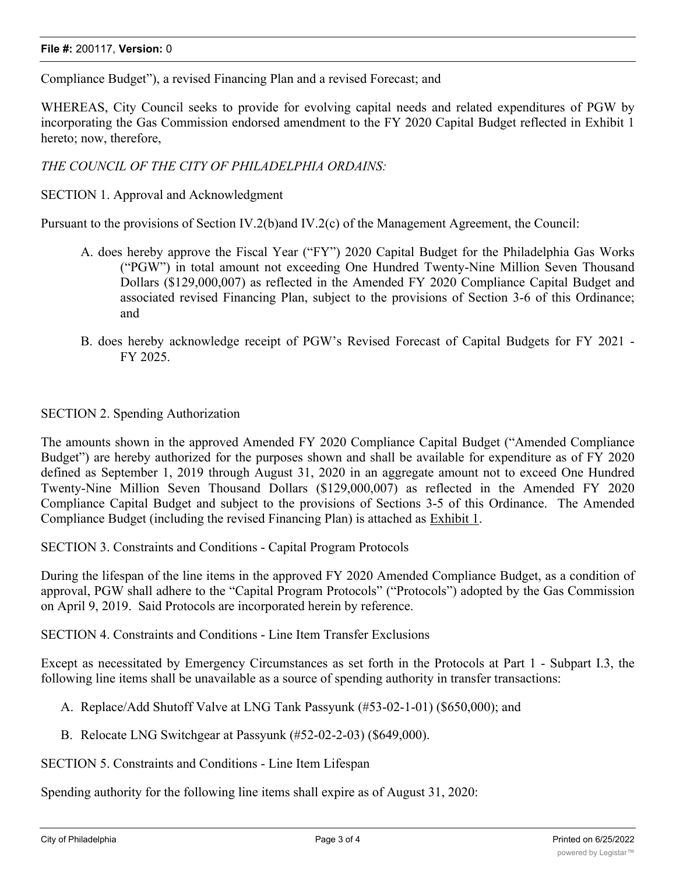Compliance Budget"), a revised Financing Plan and a revised Forecast; and

WHEREAS, City Council seeks to provide for evolving capital needs and related expenditures of PGW by incorporating the Gas Commission endorsed amendment to the FY 2020 Capital Budget reflected in Exhibit 1 hereto; now, therefore,

*THE COUNCIL OF THE CITY OF PHILADELPHIA ORDAINS:*

SECTION 1. Approval and Acknowledgment

Pursuant to the provisions of Section IV.2(b)and IV.2(c) of the Management Agreement, the Council:

- A. does hereby approve the Fiscal Year ("FY") 2020 Capital Budget for the Philadelphia Gas Works ("PGW") in total amount not exceeding One Hundred Twenty-Nine Million Seven Thousand Dollars (\$129,000,007) as reflected in the Amended FY 2020 Compliance Capital Budget and associated revised Financing Plan, subject to the provisions of Section 3-6 of this Ordinance; and
- B. does hereby acknowledge receipt of PGW's Revised Forecast of Capital Budgets for FY 2021 FY 2025.

## SECTION 2. Spending Authorization

The amounts shown in the approved Amended FY 2020 Compliance Capital Budget ("Amended Compliance Budget") are hereby authorized for the purposes shown and shall be available for expenditure as of FY 2020 defined as September 1, 2019 through August 31, 2020 in an aggregate amount not to exceed One Hundred Twenty-Nine Million Seven Thousand Dollars (\$129,000,007) as reflected in the Amended FY 2020 Compliance Capital Budget and subject to the provisions of Sections 3-5 of this Ordinance. The Amended Compliance Budget (including the revised Financing Plan) is attached as Exhibit 1.

SECTION 3. Constraints and Conditions - Capital Program Protocols

During the lifespan of the line items in the approved FY 2020 Amended Compliance Budget, as a condition of approval, PGW shall adhere to the "Capital Program Protocols" ("Protocols") adopted by the Gas Commission on April 9, 2019. Said Protocols are incorporated herein by reference.

SECTION 4. Constraints and Conditions - Line Item Transfer Exclusions

Except as necessitated by Emergency Circumstances as set forth in the Protocols at Part 1 - Subpart I.3, the following line items shall be unavailable as a source of spending authority in transfer transactions:

- A. Replace/Add Shutoff Valve at LNG Tank Passyunk (#53-02-1-01) (\$650,000); and
- B. Relocate LNG Switchgear at Passyunk (#52-02-2-03) (\$649,000).

SECTION 5. Constraints and Conditions - Line Item Lifespan

Spending authority for the following line items shall expire as of August 31, 2020: